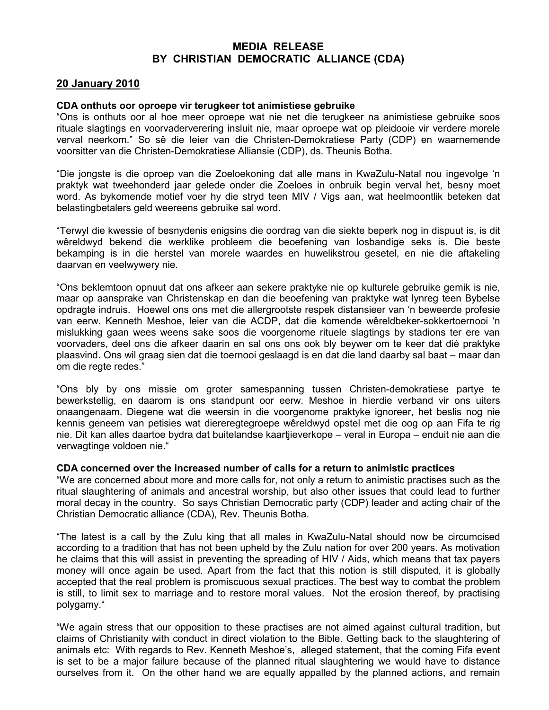## MEDIA RELEASE BY CHRISTIAN DEMOCRATIC ALLIANCE (CDA)

## 20 January 2010

## CDA onthuts oor oproepe vir terugkeer tot animistiese gebruike

"Ons is onthuts oor al hoe meer oproepe wat nie net die terugkeer na animistiese gebruike soos rituale slagtings en voorvaderverering insluit nie, maar oproepe wat op pleidooie vir verdere morele verval neerkom." So sê die leier van die Christen-Demokratiese Party (CDP) en waarnemende voorsitter van die Christen-Demokratiese Alliansie (CDP), ds. Theunis Botha.

"Die jongste is die oproep van die Zoeloekoning dat alle mans in KwaZulu-Natal nou ingevolge 'n praktyk wat tweehonderd jaar gelede onder die Zoeloes in onbruik begin verval het, besny moet word. As bykomende motief voer hy die stryd teen MIV / Vigs aan, wat heelmoontlik beteken dat belastingbetalers geld weereens gebruike sal word.

"Terwyl die kwessie of besnydenis enigsins die oordrag van die siekte beperk nog in dispuut is, is dit wêreldwyd bekend die werklike probleem die beoefening van losbandige seks is. Die beste bekamping is in die herstel van morele waardes en huwelikstrou gesetel, en nie die aftakeling daarvan en veelwywery nie.

"Ons beklemtoon opnuut dat ons afkeer aan sekere praktyke nie op kulturele gebruike gemik is nie, maar op aansprake van Christenskap en dan die beoefening van praktyke wat lynreg teen Bybelse opdragte indruis. Hoewel ons ons met die allergrootste respek distansieer van 'n beweerde profesie van eerw. Kenneth Meshoe, leier van die ACDP, dat die komende wêreldbeker-sokkertoernooi 'n mislukking gaan wees weens sake soos die voorgenome rituele slagtings by stadions ter ere van voorvaders, deel ons die afkeer daarin en sal ons ons ook bly beywer om te keer dat dié praktyke plaasvind. Ons wil graag sien dat die toernooi geslaagd is en dat die land daarby sal baat – maar dan om die regte redes."

"Ons bly by ons missie om groter samespanning tussen Christen-demokratiese partye te bewerkstellig, en daarom is ons standpunt oor eerw. Meshoe in hierdie verband vir ons uiters onaangenaam. Diegene wat die weersin in die voorgenome praktyke ignoreer, het beslis nog nie kennis geneem van petisies wat diereregtegroepe wêreldwyd opstel met die oog op aan Fifa te rig nie. Dit kan alles daartoe bydra dat buitelandse kaartjieverkope – veral in Europa – enduit nie aan die verwagtinge voldoen nie."

## CDA concerned over the increased number of calls for a return to animistic practices

"We are concerned about more and more calls for, not only a return to animistic practises such as the ritual slaughtering of animals and ancestral worship, but also other issues that could lead to further moral decay in the country. So says Christian Democratic party (CDP) leader and acting chair of the Christian Democratic alliance (CDA), Rev. Theunis Botha.

"The latest is a call by the Zulu king that all males in KwaZulu-Natal should now be circumcised according to a tradition that has not been upheld by the Zulu nation for over 200 years. As motivation he claims that this will assist in preventing the spreading of HIV / Aids, which means that tax payers money will once again be used. Apart from the fact that this notion is still disputed, it is globally accepted that the real problem is promiscuous sexual practices. The best way to combat the problem is still, to limit sex to marriage and to restore moral values. Not the erosion thereof, by practising polygamy."

"We again stress that our opposition to these practises are not aimed against cultural tradition, but claims of Christianity with conduct in direct violation to the Bible. Getting back to the slaughtering of animals etc: With regards to Rev. Kenneth Meshoe's, alleged statement, that the coming Fifa event is set to be a major failure because of the planned ritual slaughtering we would have to distance ourselves from it. On the other hand we are equally appalled by the planned actions, and remain